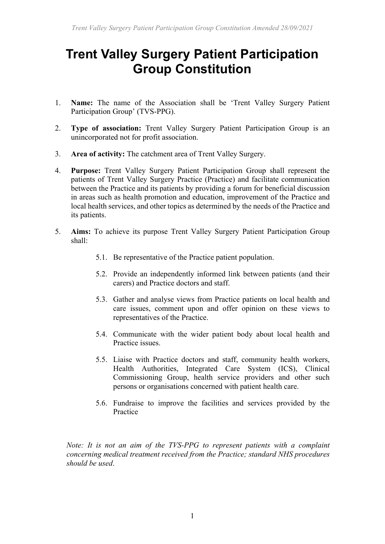# **Trent Valley Surgery Patient Participation Group Constitution**

- 1. **Name:** The name of the Association shall be 'Trent Valley Surgery Patient Participation Group' (TVS-PPG).
- 2. **Type of association:** Trent Valley Surgery Patient Participation Group is an unincorporated not for profit association.
- 3. **Area of activity:** The catchment area of Trent Valley Surgery.
- 4. **Purpose:** Trent Valley Surgery Patient Participation Group shall represent the patients of Trent Valley Surgery Practice (Practice) and facilitate communication between the Practice and its patients by providing a forum for beneficial discussion in areas such as health promotion and education, improvement of the Practice and local health services, and other topics as determined by the needs of the Practice and its patients.
- 5. **Aims:** To achieve its purpose Trent Valley Surgery Patient Participation Group shall:
	- 5.1. Be representative of the Practice patient population.
	- 5.2. Provide an independently informed link between patients (and their carers) and Practice doctors and staff.
	- 5.3. Gather and analyse views from Practice patients on local health and care issues, comment upon and offer opinion on these views to representatives of the Practice.
	- 5.4. Communicate with the wider patient body about local health and Practice issues.
	- 5.5. Liaise with Practice doctors and staff, community health workers, Health Authorities, Integrated Care System (ICS), Clinical Commissioning Group, health service providers and other such persons or organisations concerned with patient health care.
	- 5.6. Fundraise to improve the facilities and services provided by the Practice

*Note: It is not an aim of the TVS-PPG to represent patients with a complaint concerning medical treatment received from the Practice; standard NHS procedures should be used*.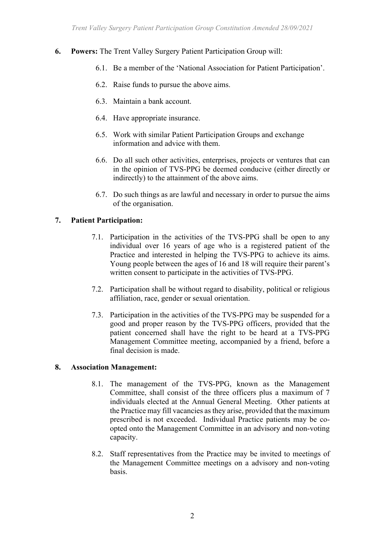- **6. Powers:** The Trent Valley Surgery Patient Participation Group will:
	- 6.1. Be a member of the 'National Association for Patient Participation'.
	- 6.2. Raise funds to pursue the above aims.
	- 6.3. Maintain a bank account.
	- 6.4. Have appropriate insurance.
	- 6.5. Work with similar Patient Participation Groups and exchange information and advice with them.
	- 6.6. Do all such other activities, enterprises, projects or ventures that can in the opinion of TVS-PPG be deemed conducive (either directly or indirectly) to the attainment of the above aims.
	- 6.7. Do such things as are lawful and necessary in order to pursue the aims of the organisation.

## **7. Patient Participation:**

- 7.1. Participation in the activities of the TVS-PPG shall be open to any individual over 16 years of age who is a registered patient of the Practice and interested in helping the TVS-PPG to achieve its aims. Young people between the ages of 16 and 18 will require their parent's written consent to participate in the activities of TVS-PPG.
- 7.2. Participation shall be without regard to disability, political or religious affiliation, race, gender or sexual orientation.
- 7.3. Participation in the activities of the TVS-PPG may be suspended for a good and proper reason by the TVS-PPG officers, provided that the patient concerned shall have the right to be heard at a TVS-PPG Management Committee meeting, accompanied by a friend, before a final decision is made.

## **8. Association Management:**

- 8.1. The management of the TVS-PPG, known as the Management Committee, shall consist of the three officers plus a maximum of 7 individuals elected at the Annual General Meeting. Other patients at the Practice may fill vacancies as they arise, provided that the maximum prescribed is not exceeded. Individual Practice patients may be coopted onto the Management Committee in an advisory and non-voting capacity.
- 8.2. Staff representatives from the Practice may be invited to meetings of the Management Committee meetings on a advisory and non-voting basis.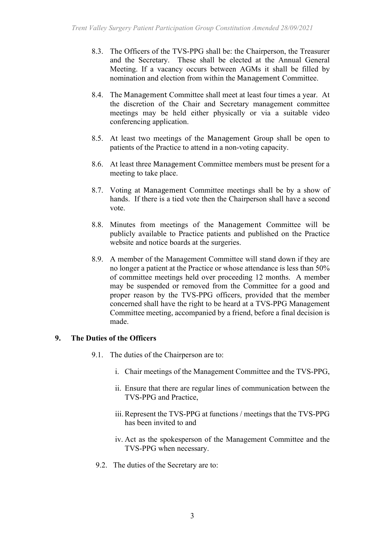- 8.3. The Officers of the TVS-PPG shall be: the Chairperson, the Treasurer and the Secretary. These shall be elected at the Annual General Meeting. If a vacancy occurs between AGMs it shall be filled by nomination and election from within the Management Committee.
- 8.4. The Management Committee shall meet at least four times a year. At the discretion of the Chair and Secretary management committee meetings may be held either physically or via a suitable video conferencing application.
- 8.5. At least two meetings of the Management Group shall be open to patients of the Practice to attend in a non-voting capacity.
- 8.6. At least three Management Committee members must be present for a meeting to take place.
- 8.7. Voting at Management Committee meetings shall be by a show of hands. If there is a tied vote then the Chairperson shall have a second vote.
- 8.8. Minutes from meetings of the Management Committee will be publicly available to Practice patients and published on the Practice website and notice boards at the surgeries.
- 8.9. A member of the Management Committee will stand down if they are no longer a patient at the Practice or whose attendance is less than 50% of committee meetings held over proceeding 12 months. A member may be suspended or removed from the Committee for a good and proper reason by the TVS-PPG officers, provided that the member concerned shall have the right to be heard at a TVS-PPG Management Committee meeting, accompanied by a friend, before a final decision is made.

## **9. The Duties of the Officers**

- 9.1. The duties of the Chairperson are to:
	- i. Chair meetings of the Management Committee and the TVS-PPG,
	- ii. Ensure that there are regular lines of communication between the TVS-PPG and Practice,
	- iii.Represent the TVS-PPG at functions / meetings that the TVS-PPG has been invited to and
	- iv. Act as the spokesperson of the Management Committee and the TVS-PPG when necessary.
- 9.2. The duties of the Secretary are to: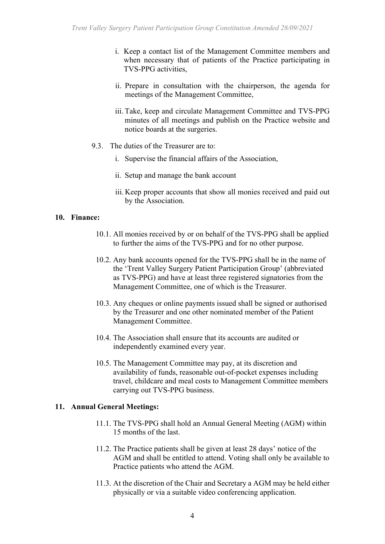- i. Keep a contact list of the Management Committee members and when necessary that of patients of the Practice participating in TVS-PPG activities,
- ii. Prepare in consultation with the chairperson, the agenda for meetings of the Management Committee,
- iii. Take, keep and circulate Management Committee and TVS-PPG minutes of all meetings and publish on the Practice website and notice boards at the surgeries.
- 9.3. The duties of the Treasurer are to:
	- i. Supervise the financial affairs of the Association,
	- ii. Setup and manage the bank account
	- iii. Keep proper accounts that show all monies received and paid out by the Association.

## **10. Finance:**

- 10.1. All monies received by or on behalf of the TVS-PPG shall be applied to further the aims of the TVS-PPG and for no other purpose.
- 10.2. Any bank accounts opened for the TVS-PPG shall be in the name of the 'Trent Valley Surgery Patient Participation Group' (abbreviated as TVS-PPG) and have at least three registered signatories from the Management Committee, one of which is the Treasurer.
- 10.3. Any cheques or online payments issued shall be signed or authorised by the Treasurer and one other nominated member of the Patient Management Committee.
- 10.4. The Association shall ensure that its accounts are audited or independently examined every year.
- 10.5. The Management Committee may pay, at its discretion and availability of funds, reasonable out-of-pocket expenses including travel, childcare and meal costs to Management Committee members carrying out TVS-PPG business.

## **11. Annual General Meetings:**

- 11.1. The TVS-PPG shall hold an Annual General Meeting (AGM) within 15 months of the last.
- 11.2. The Practice patients shall be given at least 28 days' notice of the AGM and shall be entitled to attend. Voting shall only be available to Practice patients who attend the AGM.
- 11.3. At the discretion of the Chair and Secretary a AGM may be held either physically or via a suitable video conferencing application.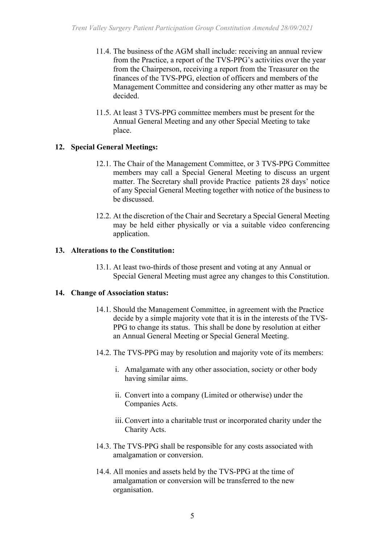- 11.4. The business of the AGM shall include: receiving an annual review from the Practice, a report of the TVS-PPG's activities over the year from the Chairperson, receiving a report from the Treasurer on the finances of the TVS-PPG, election of officers and members of the Management Committee and considering any other matter as may be decided.
- 11.5. At least 3 TVS-PPG committee members must be present for the Annual General Meeting and any other Special Meeting to take place.

## **12. Special General Meetings:**

- 12.1. The Chair of the Management Committee, or 3 TVS-PPG Committee members may call a Special General Meeting to discuss an urgent matter. The Secretary shall provide Practice patients 28 days' notice of any Special General Meeting together with notice of the business to be discussed.
- 12.2. At the discretion of the Chair and Secretary a Special General Meeting may be held either physically or via a suitable video conferencing application.

## **13. Alterations to the Constitution:**

13.1. At least two-thirds of those present and voting at any Annual or Special General Meeting must agree any changes to this Constitution.

## **14. Change of Association status:**

- 14.1. Should the Management Committee, in agreement with the Practice decide by a simple majority vote that it is in the interests of the TVS-PPG to change its status. This shall be done by resolution at either an Annual General Meeting or Special General Meeting.
- 14.2. The TVS-PPG may by resolution and majority vote of its members:
	- i. Amalgamate with any other association, society or other body having similar aims.
	- ii. Convert into a company (Limited or otherwise) under the Companies Acts.
	- iii.Convert into a charitable trust or incorporated charity under the Charity Acts.
- 14.3. The TVS-PPG shall be responsible for any costs associated with amalgamation or conversion.
- 14.4. All monies and assets held by the TVS-PPG at the time of amalgamation or conversion will be transferred to the new organisation.